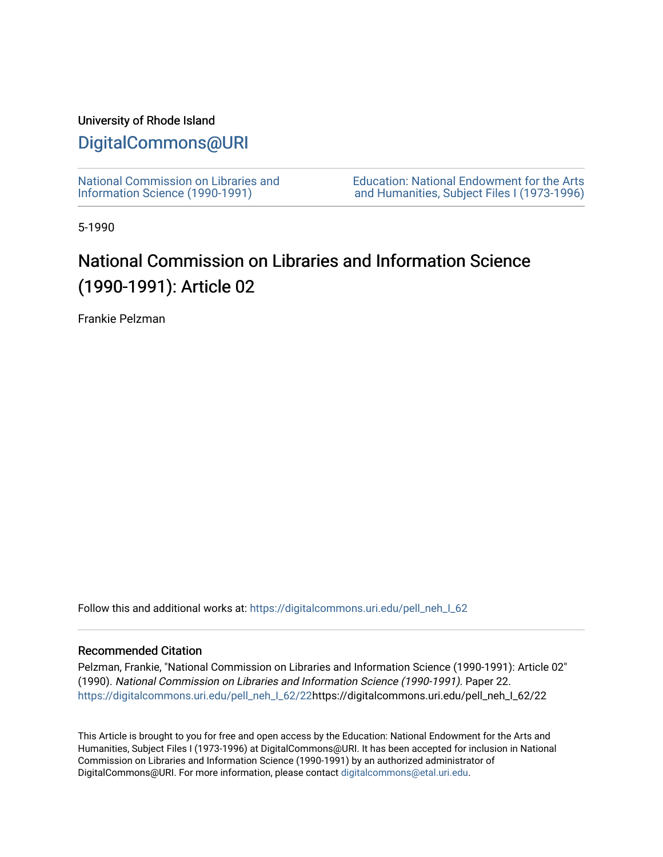## University of Rhode Island

## [DigitalCommons@URI](https://digitalcommons.uri.edu/)

[National Commission on Libraries and](https://digitalcommons.uri.edu/pell_neh_I_62) [Information Science \(1990-1991\)](https://digitalcommons.uri.edu/pell_neh_I_62) 

[Education: National Endowment for the Arts](https://digitalcommons.uri.edu/pell_neh_I)  [and Humanities, Subject Files I \(1973-1996\)](https://digitalcommons.uri.edu/pell_neh_I) 

5-1990

# National Commission on Libraries and Information Science (1990-1991): Article 02

Frankie Pelzman

Follow this and additional works at: https://digitalcommons.uri.edu/pell\_neh\_I\_62

### Recommended Citation

Pelzman, Frankie, "National Commission on Libraries and Information Science (1990-1991): Article 02" (1990). National Commission on Libraries and Information Science (1990-1991). Paper 22. [https://digitalcommons.uri.edu/pell\\_neh\\_I\\_62/22h](https://digitalcommons.uri.edu/pell_neh_I_62/22?utm_source=digitalcommons.uri.edu%2Fpell_neh_I_62%2F22&utm_medium=PDF&utm_campaign=PDFCoverPages)ttps://digitalcommons.uri.edu/pell\_neh\_I\_62/22

This Article is brought to you for free and open access by the Education: National Endowment for the Arts and Humanities, Subject Files I (1973-1996) at DigitalCommons@URI. It has been accepted for inclusion in National Commission on Libraries and Information Science (1990-1991) by an authorized administrator of DigitalCommons@URI. For more information, please contact [digitalcommons@etal.uri.edu.](mailto:digitalcommons@etal.uri.edu)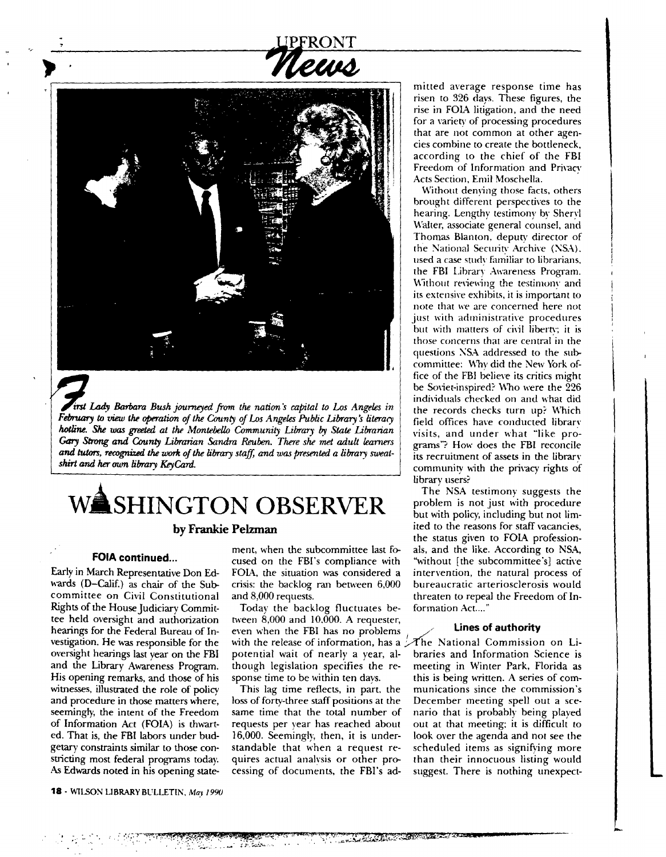

itst Lady Barbara Bush journeyed from the nation's capital to Los Angeles in February to view the operation of the County of Los Angeles Public Library's literacy hotline. She was greeted at the Montebello Community Library by State Librarian *Gary* Strong *and County Librarian Sandro Reuben. There she* met *adult learners*  and tutors, recognized the work of the library staff, and was presented a library sweat*shirt and* her own *library KeyCArd.* 

# WASHINGTON OBSERVER

#### **FOIA continued ...**

Early in March Representative Don Edwards (D-Calif.) as chair of the Subcommittee on Civil Constitutional Rights of the House Judiciary Committee held oversight and authorization hearings for the Federal Bureau of Investigation. He was responsible for the oversight hearings last year on the FBI and the Library Awareness Program. His opening remarks, and those of his witnesses, illustrated the role of policy and procedure in those matters where, seemingly, the intent of the Freedom of Information Act (FOIA) is thwarted. That is, the FBI labors under budgetary constraints similar to those constricting most federal programs today. As Edwards noted in his opening statement, when the subcommittee last fo- als, and the like. According to NSA, cused on the FBI's compliance with "without [the subcommittee's] active FOIA, the situation was considered a intervention, the natural process of crisis: the backlog ran between 6,000 bureaucratic arteriosclerosis would

Today the backlog fluctuates be- formation Act...." tween  $\dot{8},000$  and  $10,\dot{0}00$ . A requester,<br>even when the EBL bas no problems  $\sim$  **Lines of authority** even when the FBI has no problems 1 *\_,,/·* **Lines of authority**  with the release of information, has a potential wait of nearly a year, al- braries and Information Science is though legislation specifies the re- meeting in Winter Park, Florida as sponse time to be within ten days. this is being written. A series of com-

loss of forty-three staff positions at the December meeting spell out a scesame time that the total number of nario that is probably being played requests per year has reached about out at that meeting: it is difficult to 16,000. Seemingly, then, it is under- look over the agenda and not see the standable that when a request re- scheduled items as signifying more quires actual analvsis or other pro- than their innocuous listing would cessing of documents, the FBI's ad- suggest. There is nothing unexpect-

mitted average response time has risen to 326 days. These figures, the rise in FOIA litigation, and the need for a variety of processing procedures that are not common at other agencies combine to create the bottleneck, according to the chief of the FBI Freedom of Information and Privacy Acts Section, Emil Moschella.

Without denying those facts, others brought different perspectives to the hearing. Lengthy testimony by Sheryl Walter, associate general counsel, and Thomas Blanton. deputy director of the National Security Archive (NSA), used a case study farniliar to librarians. the FBI Library Awareness Program. Without reviewing the testimony and its extensive exhibits, it is important to note that we are concerned here not just with administrative procedures but with matters of civil liberty; it is those concerns that are central in the questions NSA addressed to the subcommittee: Why did the New York office of the FBI believe its critics might be Soviet-inspired? Who were the 226 individuals checked on and what did the records checks turn up? Which field offices have conducted library visits, and under what "like programs"? How does the FBI reconcile its recruitment of assets in the library community with the privacy rights of library users?

The NSA testimony suggests the problem is not just with procedure but with policy, including but not limited to the reasons for staff vacancies, the status given to FOIA profession- **by Frankie Pelzman**  and 8,000 requests. threaten to repeal the Freedom of In-

This lag time reflects, in part, the munications since the commission's

 $\overline{\phantom{a}}$ 

. **f** ~. :. ' •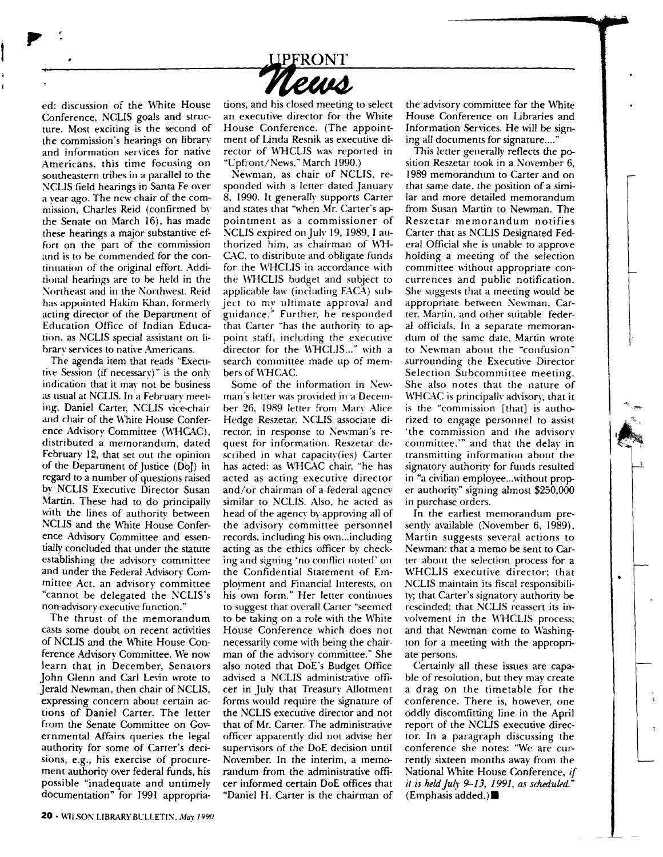

ed: discussion of the White House Conference, NCLIS goals and structure. Most exciting is the second of the commission's hearings on library and information senices for native Americans, this time focusing on southeastern tribes in a parallel to the NCLIS field hearings in Santa Fe over a year ago. The new chair of the commission, Charles Reid (confirmed by the Senate on March 16), has made these hearings a major substantive effort on the part of the commission and is to be commended for the continuation of the original effort. Addirional hearings are to be held in the Northeast and in the Northwest. Reid. has appointed Hakim Khan, formerly acting director of the Department of Education Office of Indian Education, as NCLIS special assistant on Iibrary services to native Americans.

 $\mathbf{P}$ 

'.

The agenda item that reads "Executive Session (if necessary)" is the only indication that it may not be business as usual at NCLIS. In a February meeting. Daniel Carter, NCLIS vice-chair and chair of the White House Conference Advisory Committee (WHCAC), distributed a memorandum, dated February 12, that set out the opinion of the Department of Justice (Doj) in regard to a number of questions raised by NCLIS Executive Director Susan Martin. These had to do principally with the lines of authority between NCLIS and the White House Conference Advisory Committee and essentially concluded thar under the statute establishing the advisory committee and under the Federal Advisory Committee Act, an advisory committee "cannot be delegated the NCLIS's non-advisory executive function."

The thrust of the memorandum casts some doubt on recent activities of NCLIS and the White House Conference Advisorv Committee. We now learn that in December, Senators John Glenn and Carl Levin wrote to Jerald Newman, then chair of NCLIS, expressing concern about certain actions of Daniel Carter. The letter from the Senate Committee on Governmental Affairs queries the legal authority for some of Carter's decisions, e.g., his exercise of procurement authority over federal funds, his possible "inadequate and untimely documentation" for 1991 appropriations, and his closed meeting to select an executive director for the White House Conference. (The appointment of Linda Resnik as executive director of WHCLIS was reported in "Upfront/News," March 1990.)

Newman, as chair of NCLIS, responded with a letter dated January 8, 1990. It generally supports Carter and states that "when Mr. Carter's appointment as a commissioner of NCLIS expired on July 19, 1989, I authorized him, as chairman of WH-CAC, to distribute and obligate funds for the WHCLIS in accordance with the WHCLIS budget and subject to applicable law (including FACA) subject to my ultimate approval and guidance.'" Further, he responded that Carter "has the authority to appoint staff, including the executive director for the WHCLIS..." with a search committee made up of members of WHCAC.

Some of the information in Newman's letter was provided in a December 26, 1989 letter from Mary Alice Hedge Reszetar, NCLIS associate director, in response to Newman's request for information. Reszetar described in what capacity(ies) Carter has acted: as WHCAC chair, "he has acted as acting executive director and/or chairman of a federal agency similar to NCLIS. Also, he acted as head of the agency by approving all of the advisory committee personnel records, including his own... including acting as the ethics officer by checking and signing "no conflict noted' on the Confidential Statement of Employment and Financial Interests, on his own form." Her letter continues to suggest that overall Carter "seemed to be taking on a role with the White House Conference which does not necessarily come with being the chairman of the advisory committee." She also noted that DoE's Budget Office advised a NCLIS administrative officer in July that Treasury Allotment forms would require the signature of the NCLIS executive director and not that of Mr. Carter. The administrative officer apparently did not advise her supervisors of the DoE decision until November. In the interim, a memorandum from the administrative officer informed certain DoE offices that "Daniel H. Carter is the chairman of the advisory committee for the White House Conference on Libraries and Information Services. He will be signing all documents for signature....

This letter generally reflects the position Reszetar took in a November 6, 1989 memorandum to Carter and on that same date, the position of a similar and more detailed memorandum from Susan Martin to Newman. The Reszetar memorandum notifies Carter that as NCLIS Designated Federal Official she is unable to approve holding a meeting of the selection committee without appropriate concurrences and public notification. She suggests chat a meeting would be appropriate between Newman, Carter, Martin, and other suitable federal officials. In a separate memorandum of the same date, Martin wrote to Newman about the "confusion" surrounding the Executive Director Selection Subcommittee meeting. She also notes that the nature of WHCAC is principally advisory, that it is the "commission [that] is authorized to engage personnel to assist "the commission and the advisorv committee," and that the delay in transmitting information about the signatory authority for funds resulted in "a civilian employee... without proper authority" signing almost \$250,000 in purchase orders.

In the earliest memorandum presently available (November 6, 1989), Martin suggests sewral actions to Newman: that a memo be sent to Carter about the selection process for a WHCLIS executive director; that NCLIS maintain its fiscal responsibility; that Carter's signatory authority be rescinded; that NCLIS reassert its in volvement in the WHCLIS process; and that Newman come to Washington for a meeting with the appropriate persons.

Certainly all these issues are capable of resolution, but they may create a drag on the timetable for the conference. There is, however, one oddly discomfitting line in the April report of the NCLIS executive director. In a paragraph discussing the conference she notes: "We are currently sixteen months away from the National White House Conference, if *it is held July 9-13, 1991, as scheduled.*" (Emphasis added.) $\blacksquare$